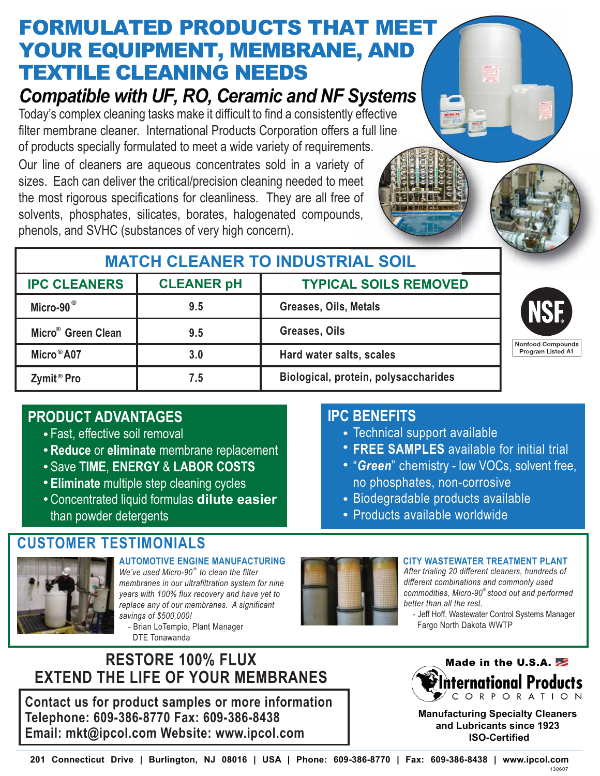# **FORMULATED PRODUCTS THAT MEET** YOUR EQUIPMENT, MEMBRANE, AND TEXTILE CLEANING NEEDS

# *Compatible with UF, RO, Ceramic and NF Systems*

Today's complex cleaning tasks make it difficult to find a consistently effective filter membrane cleaner. International Products Corporation offers a full line

Our line of cleaners are aqueous concentrates sold in a variety of sizes. Each can deliver the critical/precision cleaning needed to meet sizes. Each can deliver the critical/precision cleaning needed to meet<br>the most rigorous specifications for cleanliness. They are all free of solvents, phosphates, silicates, borates, halogenated compounds, phenols, and SVHC (substances of very high concern). of products specially formulated to meet a wide variety of requirements.<br>Our line of cleaners are aqueous concentrates sold in a variety of<br>sizes. Each can deliver the critical/precision cleaning needed to meet<br>the most ri

## **MATCH CLEANER TO INDUSTRIAL SOIL**

| <b>CLEANER pH</b><br><b>IPC CLEANERS</b> |     | <b>TYPICAL SOILS REMOVED</b>         |                                 |  |
|------------------------------------------|-----|--------------------------------------|---------------------------------|--|
| Micro-90 <sup>®</sup>                    | 9.5 | Greases, Oils, Metals                |                                 |  |
| Micro <sup>®</sup> Green Clean           | 9.5 | Greases, Oils                        |                                 |  |
| Micro <sup>®</sup> A07                   | 3.0 | Hard water salts, scales             | Nonfood Compo<br>Program Listed |  |
| Zymit <sup>®</sup> Pro                   | 7.5 | Biological, protein, polysaccharides |                                 |  |

### **PRODUCT ADVANTAGES**

- Fast, effective soil removal
- **Reduce** or **eliminate** membrane replacement
- Save **TIME**, **ENERGY** & **LABOR COSTS**
- **Eliminate** multiple step cleaning cycles
- Concentrated liquid formulas **dilute easier** than powder detergents

### **CUSTOMER TESTIMONIALS**



**®** *We've used Micro-90 to clean the filter membranes in our ultrafiltration system for nine years with 100% flux recovery and have yet to replace any of our membranes. A significant savings of \$500,000!* **AUTOMOTIVE ENGINE MANUFACTURING**

 - Brian LoTempio, Plant Manager DTE Tonawanda

### **RESTORE 100% FLUX EXTEND THE LIFE OF YOUR MEMBRANES**

**Contact us for product samples or more information Telephone: 609-386-8770 Fax: 609-386-8438 Email: mkt@ipcol.com Website: www.ipcol.com**

### **IPC BENEFITS**

- Technical support available
- **FREE SAMPLES** available for initial trial
- "*Green*" chemistry low VOCs, solvent free, no phosphates, non-corrosive
- Biodegradable products available
- Products available worldwide



#### **CITY WASTEWATER TREATMENT PLANT**

**®** *commodities, Micro-90 stood out and performed After trialing 20 different cleaners, hundreds of different combinations and commonly used better than all the rest.*

 - Jeff Hoff, Wastewater Control Systems Manager Fargo North Dakota WWTP

**A1**

unds



**Manufacturing Specialty Cleaners and Lubricants since 1923 ISO-Certified**